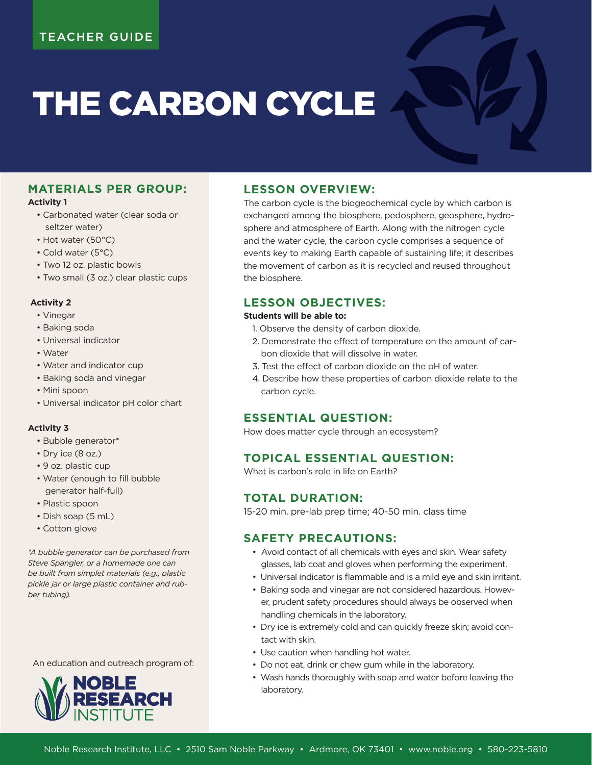# THE CARBON CYCLE

## **MATERIALS PER GROUP:**

#### **Activity 1**

- Carbonated water (clear soda or seltzer water)
- Hot water (50°C)
- Cold water (5°C)
- Two 12 oz. plastic bowls
- Two small (3 oz.) clear plastic cups

#### **Activity 2**

- Vinegar
- Baking soda
- Universal indicator
- Water
- Water and indicator cup
- Baking soda and vinegar
- Mini spoon
- Universal indicator pH color chart

#### **Activity 3**

- Bubble generator\*
- Dry ice (8 oz.)
- 9 oz. plastic cup
- Water (enough to fill bubble generator half-full)
- Plastic spoon
- Dish soap (5 mL)
- Cotton glove

*\*A bubble generator can be purchased from Steve Spangler, or a homemade one can be built from simplet materials (e.g., plastic pickle jar or large plastic container and rubber tubing).* 

An education and outreach program of:



## **LESSON OVERVIEW:**

The carbon cycle is the biogeochemical cycle by which carbon is exchanged among the biosphere, pedosphere, geosphere, hydrosphere and atmosphere of Earth. Along with the nitrogen cycle and the water cycle, the carbon cycle comprises a sequence of events key to making Earth capable of sustaining life; it describes the movement of carbon as it is recycled and reused throughout the biosphere.

# **LESSON OBJECTIVES:**

#### **Students will be able to:**

- 1. Observe the density of carbon dioxide.
- 2. Demonstrate the effect of temperature on the amount of carbon dioxide that will dissolve in water.
- 3. Test the effect of carbon dioxide on the pH of water.
- 4. Describe how these properties of carbon dioxide relate to the carbon cycle.

## **ESSENTIAL QUESTION:**

How does matter cycle through an ecosystem?

# **TOPICAL ESSENTIAL QUESTION:**

What is carbon's role in life on Earth?

## **TOTAL DURATION:**

15-20 min. pre-lab prep time; 40-50 min. class time

# **SAFETY PRECAUTIONS:**

- Avoid contact of all chemicals with eyes and skin. Wear safety glasses, lab coat and gloves when performing the experiment.
- Universal indicator is flammable and is a mild eye and skin irritant.
- Baking soda and vinegar are not considered hazardous. However, prudent safety procedures should always be observed when handling chemicals in the laboratory.
- Dry ice is extremely cold and can quickly freeze skin; avoid contact with skin.
- Use caution when handling hot water.
- Do not eat, drink or chew gum while in the laboratory.
- Wash hands thoroughly with soap and water before leaving the laboratory.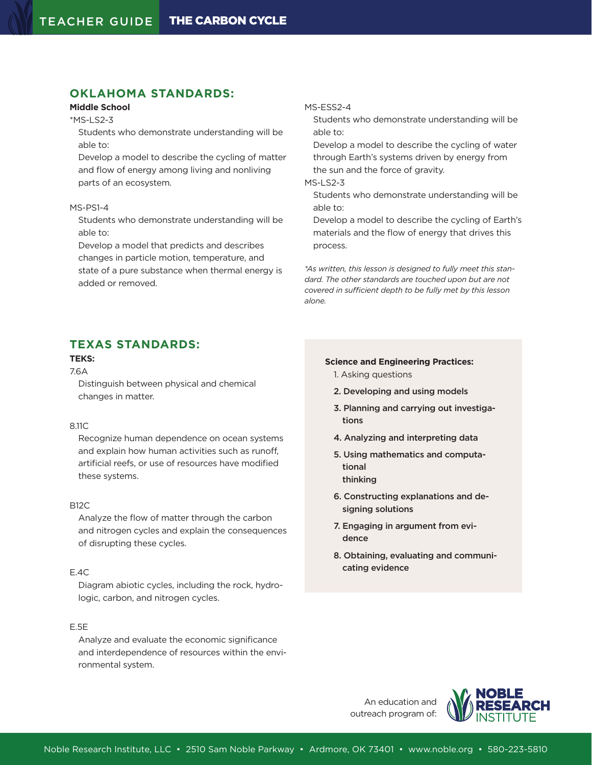# **OKLAHOMA STANDARDS:**

## **Middle School**

\*MS-LS2-3

Students who demonstrate understanding will be able to:

Develop a model to describe the cycling of matter and flow of energy among living and nonliving parts of an ecosystem.

#### MS-PS1-4

Students who demonstrate understanding will be able to:

Develop a model that predicts and describes changes in particle motion, temperature, and

state of a pure substance when thermal energy is added or removed.

#### MS-ESS2-4

Students who demonstrate understanding will be able to:

Develop a model to describe the cycling of water through Earth's systems driven by energy from the sun and the force of gravity.

#### MS-LS2-3

Students who demonstrate understanding will be able to:

Develop a model to describe the cycling of Earth's materials and the flow of energy that drives this process.

*\*As written, this lesson is designed to fully meet this standard. The other standards are touched upon but are not covered in sufficient depth to be fully met by this lesson alone.*

# **TEXAS STANDARDS:**

## **TEKS:**

7.6A

Distinguish between physical and chemical changes in matter.

#### 8.11C

Recognize human dependence on ocean systems and explain how human activities such as runoff, artificial reefs, or use of resources have modified these systems.

#### B12C

Analyze the flow of matter through the carbon and nitrogen cycles and explain the consequences of disrupting these cycles.

#### E.4C

Diagram abiotic cycles, including the rock, hydrologic, carbon, and nitrogen cycles.

#### E.5E

Analyze and evaluate the economic significance and interdependence of resources within the environmental system.

#### **Science and Engineering Practices:**

- 1. Asking questions
- 2. Developing and using models
- 3. Planning and carrying out investigations
- 4. Analyzing and interpreting data
- 5. Using mathematics and computational thinking
- 6. Constructing explanations and designing solutions
- 7. Engaging in argument from evidence
- 8. Obtaining, evaluating and communicating evidence

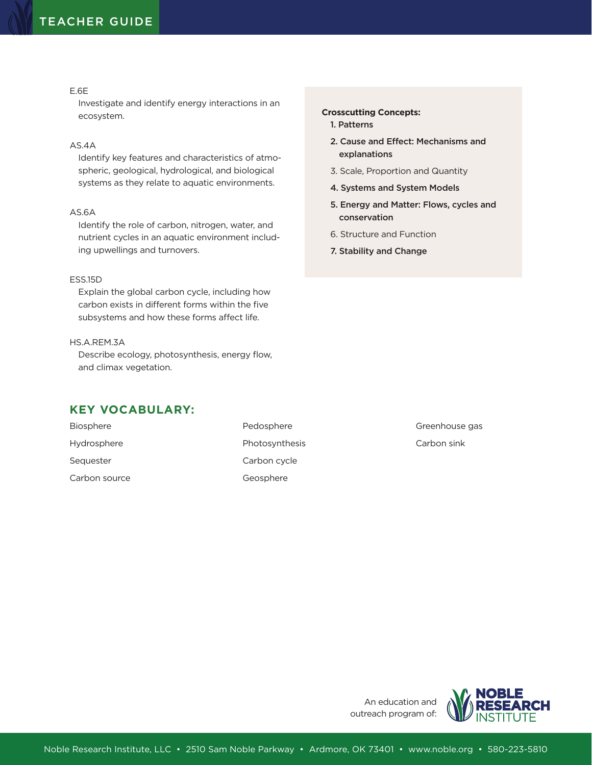#### E.6E

Investigate and identify energy interactions in an ecosystem.

#### AS.4A

Identify key features and characteristics of atmospheric, geological, hydrological, and biological systems as they relate to aquatic environments.

## AS.6A

Identify the role of carbon, nitrogen, water, and nutrient cycles in an aquatic environment including upwellings and turnovers.

#### ESS.15D

Explain the global carbon cycle, including how carbon exists in different forms within the five subsystems and how these forms affect life.

### HS.A.REM.3A

Describe ecology, photosynthesis, energy flow, and climax vegetation.

# **KEY VOCABULARY:**

| <b>Biosphere</b> | Pedosphere     |
|------------------|----------------|
| Hydrosphere      | Photosynthesis |
| Sequester        | Carbon cycle   |
| Carbon source    | Geosphere      |

#### **Crosscutting Concepts:**

- 1. Patterns
- 2. Cause and Effect: Mechanisms and explanations
- 3. Scale, Proportion and Quantity
- 4. Systems and System Models
- 5. Energy and Matter: Flows, cycles and conservation

Greenhouse gas Carbon sink

- 6. Structure and Function
- 7. Stability and Change

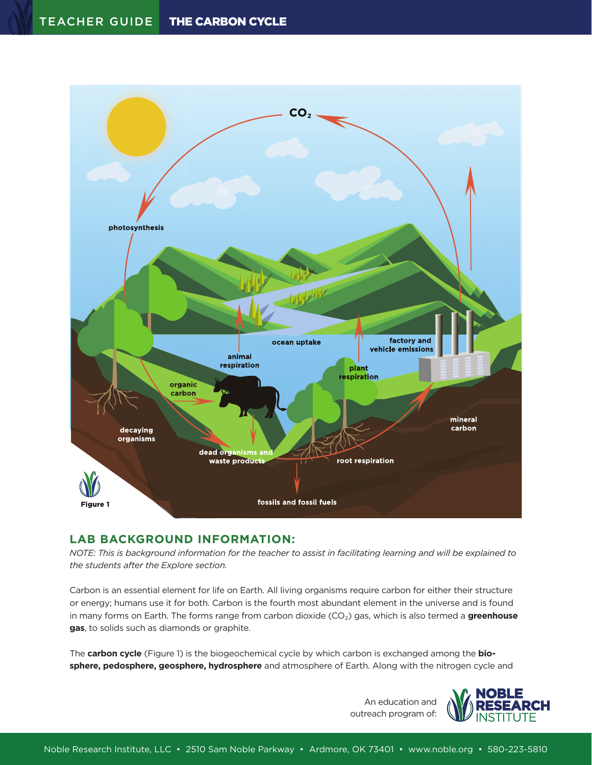

# **LAB BACKGROUND INFORMATION:**

*NOTE: This is background information for the teacher to assist in facilitating learning and will be explained to the students after the Explore section.*

Carbon is an essential element for life on Earth. All living organisms require carbon for either their structure or energy; humans use it for both. Carbon is the fourth most abundant element in the universe and is found in many forms on Earth. The forms range from carbon dioxide (CO₂) gas, which is also termed a **greenhouse gas**, to solids such as diamonds or graphite.

The **carbon cycle** (Figure 1) is the biogeochemical cycle by which carbon is exchanged among the **biosphere, pedosphere, geosphere, hydrosphere** and atmosphere of Earth. Along with the nitrogen cycle and

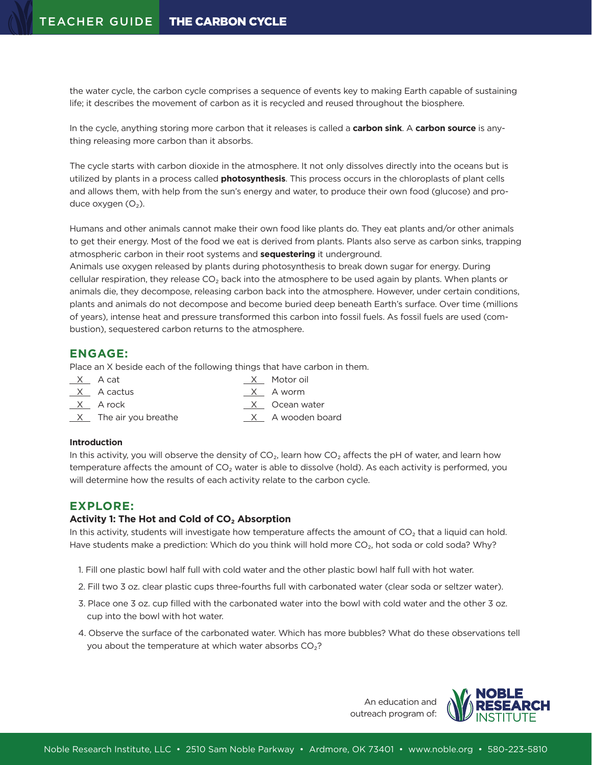the water cycle, the carbon cycle comprises a sequence of events key to making Earth capable of sustaining life; it describes the movement of carbon as it is recycled and reused throughout the biosphere.

In the cycle, anything storing more carbon that it releases is called a **carbon sink**. A **carbon source** is anything releasing more carbon than it absorbs.

The cycle starts with carbon dioxide in the atmosphere. It not only dissolves directly into the oceans but is utilized by plants in a process called **photosynthesis**. This process occurs in the chloroplasts of plant cells and allows them, with help from the sun's energy and water, to produce their own food (glucose) and produce oxygen  $(O_2)$ .

Humans and other animals cannot make their own food like plants do. They eat plants and/or other animals to get their energy. Most of the food we eat is derived from plants. Plants also serve as carbon sinks, trapping atmospheric carbon in their root systems and **sequestering** it underground.

Animals use oxygen released by plants during photosynthesis to break down sugar for energy. During cellular respiration, they release  $CO<sub>2</sub>$  back into the atmosphere to be used again by plants. When plants or animals die, they decompose, releasing carbon back into the atmosphere. However, under certain conditions, plants and animals do not decompose and become buried deep beneath Earth's surface. Over time (millions of years), intense heat and pressure transformed this carbon into fossil fuels. As fossil fuels are used (combustion), sequestered carbon returns to the atmosphere.

# **ENGAGE:**

Place an X beside each of the following things that have carbon in them.

| X A cat               | X Motor oil      |
|-----------------------|------------------|
| X A cactus            | X A worm         |
| X Arock               | X Ocean water    |
| X The air you breathe | X A wooden board |

## **Introduction**

In this activity, you will observe the density of  $CO<sub>2</sub>$ , learn how  $CO<sub>2</sub>$  affects the pH of water, and learn how temperature affects the amount of  $CO<sub>2</sub>$  water is able to dissolve (hold). As each activity is performed, you will determine how the results of each activity relate to the carbon cycle.

# **EXPLORE:**

## **Activity 1: The Hot and Cold of CO₂ Absorption**

In this activity, students will investigate how temperature affects the amount of  $CO<sub>2</sub>$  that a liquid can hold. Have students make a prediction: Which do you think will hold more CO<sub>2</sub>, hot soda or cold soda? Why?

- 1. Fill one plastic bowl half full with cold water and the other plastic bowl half full with hot water.
- 2. Fill two 3 oz. clear plastic cups three-fourths full with carbonated water (clear soda or seltzer water).
- 3. Place one 3 oz. cup filled with the carbonated water into the bowl with cold water and the other 3 oz. cup into the bowl with hot water.
- 4. Observe the surface of the carbonated water. Which has more bubbles? What do these observations tell you about the temperature at which water absorbs  $CO<sub>2</sub>$ ?

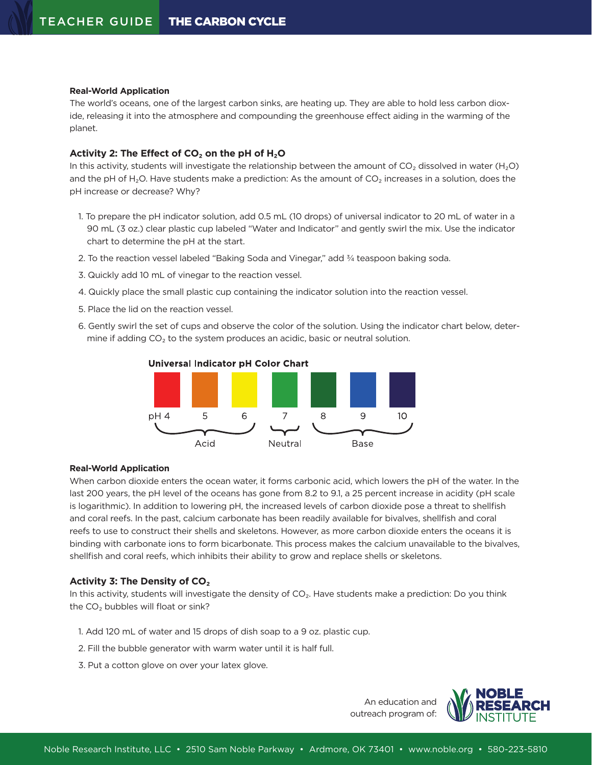#### **Real-World Application**

The world's oceans, one of the largest carbon sinks, are heating up. They are able to hold less carbon dioxide, releasing it into the atmosphere and compounding the greenhouse effect aiding in the warming of the planet.

#### **Activity 2: The Effect of CO₂ on the pH of H₂O**

In this activity, students will investigate the relationship between the amount of  $CO<sub>2</sub>$  dissolved in water (H<sub>2</sub>O) and the pH of H<sub>2</sub>O. Have students make a prediction: As the amount of  $CO<sub>2</sub>$  increases in a solution, does the pH increase or decrease? Why?

- 1. To prepare the pH indicator solution, add 0.5 mL (10 drops) of universal indicator to 20 mL of water in a 90 mL (3 oz.) clear plastic cup labeled "Water and Indicator" and gently swirl the mix. Use the indicator chart to determine the pH at the start.
- 2. To the reaction vessel labeled "Baking Soda and Vinegar," add <sup>3</sup>/4 teaspoon baking soda.
- 3. Quickly add 10 mL of vinegar to the reaction vessel.
- 4. Quickly place the small plastic cup containing the indicator solution into the reaction vessel.
- 5. Place the lid on the reaction vessel.
- 6. Gently swirl the set of cups and observe the color of the solution. Using the indicator chart below, determine if adding  $CO<sub>2</sub>$  to the system produces an acidic, basic or neutral solution.



#### Universal Indicator pH Color Chart

#### **Real-World Application**

When carbon dioxide enters the ocean water, it forms carbonic acid, which lowers the pH of the water. In the last 200 years, the pH level of the oceans has gone from 8.2 to 9.1, a 25 percent increase in acidity (pH scale is logarithmic). In addition to lowering pH, the increased levels of carbon dioxide pose a threat to shellfish and coral reefs. In the past, calcium carbonate has been readily available for bivalves, shellfish and coral reefs to use to construct their shells and skeletons. However, as more carbon dioxide enters the oceans it is binding with carbonate ions to form bicarbonate. This process makes the calcium unavailable to the bivalves, shellfish and coral reefs, which inhibits their ability to grow and replace shells or skeletons.

#### **Activity 3: The Density of CO₂**

In this activity, students will investigate the density of CO<sub>2</sub>. Have students make a prediction: Do you think the  $CO<sub>2</sub>$  bubbles will float or sink?

- 1. Add 120 mL of water and 15 drops of dish soap to a 9 oz. plastic cup.
- 2. Fill the bubble generator with warm water until it is half full.
- 3. Put a cotton glove on over your latex glove.

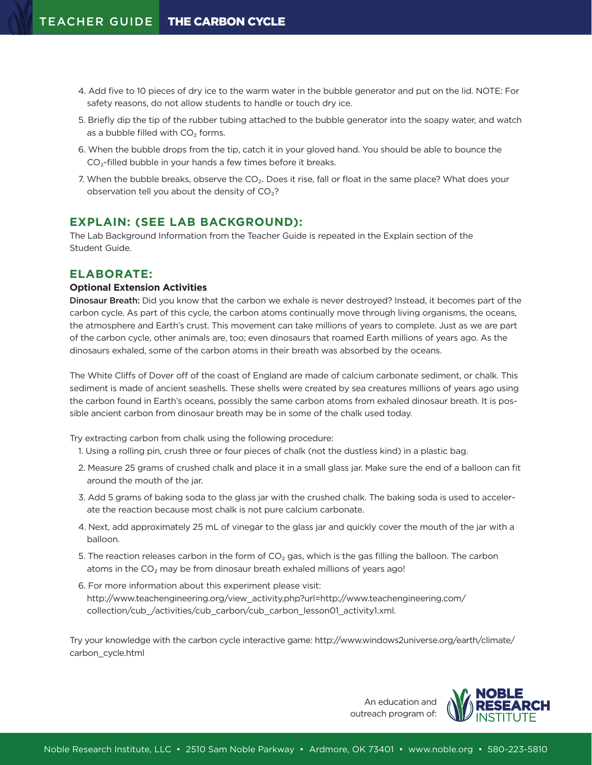- 4. Add five to 10 pieces of dry ice to the warm water in the bubble generator and put on the lid. NOTE: For safety reasons, do not allow students to handle or touch dry ice.
- 5. Briefly dip the tip of the rubber tubing attached to the bubble generator into the soapy water, and watch as a bubble filled with  $CO<sub>2</sub>$  forms.
- 6. When the bubble drops from the tip, catch it in your gloved hand. You should be able to bounce the  $CO<sub>2</sub>$ -filled bubble in your hands a few times before it breaks.
- 7. When the bubble breaks, observe the CO<sub>2</sub>. Does it rise, fall or float in the same place? What does your observation tell you about the density of  $CO<sub>2</sub>$ ?

## **EXPLAIN: (SEE LAB BACKGROUND):**

The Lab Background Information from the Teacher Guide is repeated in the Explain section of the Student Guide.

## **ELABORATE:**

#### **Optional Extension Activities**

Dinosaur Breath: Did you know that the carbon we exhale is never destroyed? Instead, it becomes part of the carbon cycle. As part of this cycle, the carbon atoms continually move through living organisms, the oceans, the atmosphere and Earth's crust. This movement can take millions of years to complete. Just as we are part of the carbon cycle, other animals are, too; even dinosaurs that roamed Earth millions of years ago. As the dinosaurs exhaled, some of the carbon atoms in their breath was absorbed by the oceans.

The White Cliffs of Dover off of the coast of England are made of calcium carbonate sediment, or chalk. This sediment is made of ancient seashells. These shells were created by sea creatures millions of years ago using the carbon found in Earth's oceans, possibly the same carbon atoms from exhaled dinosaur breath. It is possible ancient carbon from dinosaur breath may be in some of the chalk used today.

Try extracting carbon from chalk using the following procedure:

- 1. Using a rolling pin, crush three or four pieces of chalk (not the dustless kind) in a plastic bag.
- 2. Measure 25 grams of crushed chalk and place it in a small glass jar. Make sure the end of a balloon can fit around the mouth of the jar.
- 3. Add 5 grams of baking soda to the glass jar with the crushed chalk. The baking soda is used to accelerate the reaction because most chalk is not pure calcium carbonate.
- 4. Next, add approximately 25 mL of vinegar to the glass jar and quickly cover the mouth of the jar with a balloon.
- 5. The reaction releases carbon in the form of  $CO<sub>2</sub>$  gas, which is the gas filling the balloon. The carbon atoms in the CO<sub>2</sub> may be from dinosaur breath exhaled millions of years ago!
- 6. For more information about this experiment please visit: http://www.teachengineering.org/view\_activity.php?url=http://www.teachengineering.com/ collection/cub\_/activities/cub\_carbon/cub\_carbon\_lesson01\_activity1.xml.

Try your knowledge with the carbon cycle interactive game: http://www.windows2universe.org/earth/climate/ carbon\_cycle.html

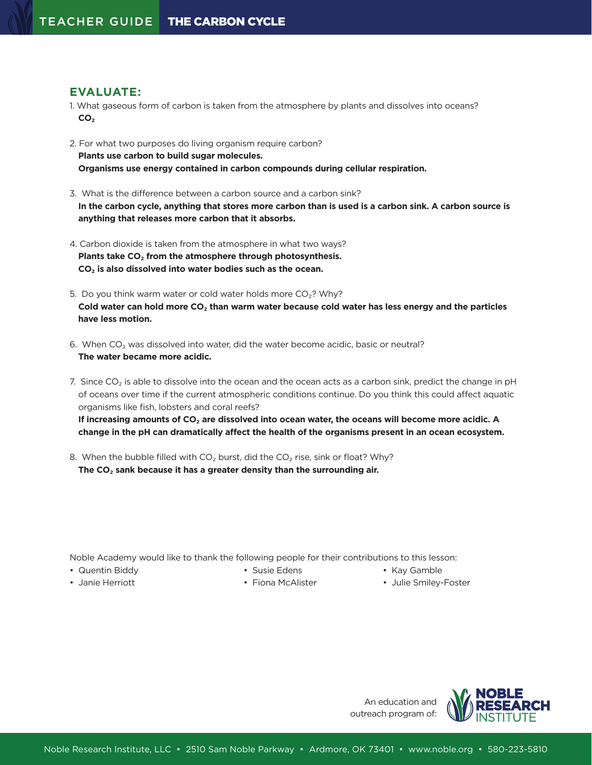## **EVALUATE:**

- 1. What gaseous form of carbon is taken from the atmosphere by plants and dissolves into oceans? **CO₂**
- 2. For what two purposes do living organism require carbon? **Plants use carbon to build sugar molecules. Organisms use energy contained in carbon compounds during cellular respiration.**
- 3. What is the difference between a carbon source and a carbon sink? **In the carbon cycle, anything that stores more carbon than is used is a carbon sink. A carbon source is anything that releases more carbon that it absorbs.**
- 4. Carbon dioxide is taken from the atmosphere in what two ways? **Plants take CO₂ from the atmosphere through photosynthesis. CO₂ is also dissolved into water bodies such as the ocean.**
- 5. Do you think warm water or cold water holds more  $CO<sub>2</sub>$ ? Why? **Cold water can hold more CO₂ than warm water because cold water has less energy and the particles have less motion.**
- 6. When CO<sub>2</sub> was dissolved into water, did the water become acidic, basic or neutral? **The water became more acidic.**
- 7. Since CO<sub>2</sub> is able to dissolve into the ocean and the ocean acts as a carbon sink, predict the change in pH of oceans over time if the current atmospheric conditions continue. Do you think this could affect aquatic organisms like fish, lobsters and coral reefs? **If increasing amounts of CO₂ are dissolved into ocean water, the oceans will become more acidic. A**

**change in the pH can dramatically affect the health of the organisms present in an ocean ecosystem.**

8. When the bubble filled with  $CO<sub>2</sub>$  burst, did the  $CO<sub>2</sub>$  rise, sink or float? Why? **The CO₂ sank because it has a greater density than the surrounding air.**

Noble Academy would like to thank the following people for their contributions to this lesson:

- Quentin Biddy Susie Edens Kay Gamble
- 
- 
- 
- Janie Herriott  **Fiona McAlister** Julie Smiley-Foster
- 

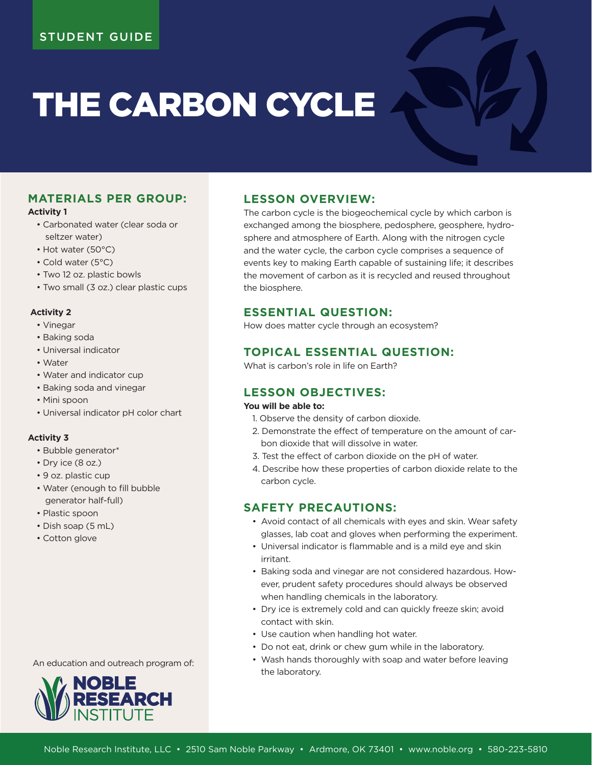# THE CARBON CYCLE

# **MATERIALS PER GROUP:**

#### **Activity 1**

- Carbonated water (clear soda or seltzer water)
- Hot water (50°C)
- Cold water (5°C)
- Two 12 oz. plastic bowls
- Two small (3 oz.) clear plastic cups

## **Activity 2**

- Vinegar
- Baking soda
- Universal indicator
- Water
- Water and indicator cup
- Baking soda and vinegar
- Mini spoon
- Universal indicator pH color chart

## **Activity 3**

- Bubble generator\*
- Dry ice (8 oz.)
- 9 oz. plastic cup
- Water (enough to fill bubble generator half-full)
- Plastic spoon
- Dish soap (5 mL)
- Cotton glove

# **LESSON OVERVIEW:**

The carbon cycle is the biogeochemical cycle by which carbon is exchanged among the biosphere, pedosphere, geosphere, hydrosphere and atmosphere of Earth. Along with the nitrogen cycle and the water cycle, the carbon cycle comprises a sequence of events key to making Earth capable of sustaining life; it describes the movement of carbon as it is recycled and reused throughout the biosphere.

# **ESSENTIAL QUESTION:**

How does matter cycle through an ecosystem?

# **TOPICAL ESSENTIAL QUESTION:**

What is carbon's role in life on Earth?

# **LESSON OBJECTIVES:**

## **You will be able to:**

- 1. Observe the density of carbon dioxide.
- 2. Demonstrate the effect of temperature on the amount of carbon dioxide that will dissolve in water.
- 3. Test the effect of carbon dioxide on the pH of water.
- 4. Describe how these properties of carbon dioxide relate to the carbon cycle.

# **SAFETY PRECAUTIONS:**

- Avoid contact of all chemicals with eyes and skin. Wear safety glasses, lab coat and gloves when performing the experiment.
- Universal indicator is flammable and is a mild eye and skin irritant.
- Baking soda and vinegar are not considered hazardous. However, prudent safety procedures should always be observed when handling chemicals in the laboratory.
- Dry ice is extremely cold and can quickly freeze skin; avoid contact with skin.
- Use caution when handling hot water.
- Do not eat, drink or chew gum while in the laboratory.
- Wash hands thoroughly with soap and water before leaving the laboratory.

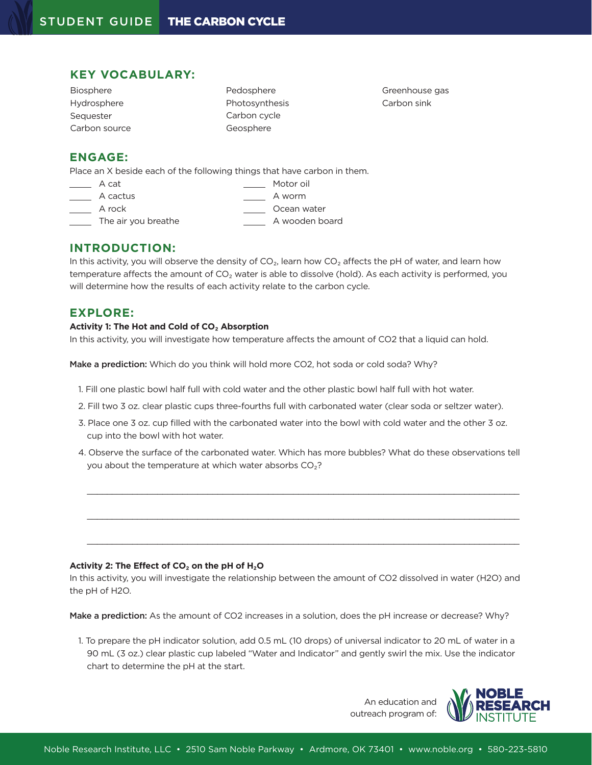# **KEY VOCABULARY:**

Biosphere Hydrosphere Sequester Carbon source Pedosphere Photosynthesis Carbon cycle Geosphere

Greenhouse gas Carbon sink

## **ENGAGE:**

Place an X beside each of the following things that have carbon in them.

- A cat Motor oil
- A cactus A worm
	- A rock and the contract of the Community Ocean water
- 
- The air you breathe A wooden board

## **INTRODUCTION:**

In this activity, you will observe the density of  $CO<sub>2</sub>$ , learn how  $CO<sub>2</sub>$  affects the pH of water, and learn how temperature affects the amount of  $CO<sub>2</sub>$  water is able to dissolve (hold). As each activity is performed, you will determine how the results of each activity relate to the carbon cycle.

# **EXPLORE:**

#### **Activity 1: The Hot and Cold of CO₂ Absorption**

In this activity, you will investigate how temperature affects the amount of CO2 that a liquid can hold.

Make a prediction: Which do you think will hold more CO2, hot soda or cold soda? Why?

- 1. Fill one plastic bowl half full with cold water and the other plastic bowl half full with hot water.
- 2. Fill two 3 oz. clear plastic cups three-fourths full with carbonated water (clear soda or seltzer water).
- 3. Place one 3 oz. cup filled with the carbonated water into the bowl with cold water and the other 3 oz. cup into the bowl with hot water.
- 4. Observe the surface of the carbonated water. Which has more bubbles? What do these observations tell you about the temperature at which water absorbs  $CO<sub>2</sub>$ ?

 $\_$  , and the set of the set of the set of the set of the set of the set of the set of the set of the set of the set of the set of the set of the set of the set of the set of the set of the set of the set of the set of th

 $\_$  , and the state of the state of the state of the state of the state of the state of the state of the state of the state of the state of the state of the state of the state of the state of the state of the state of the

 $\_$  , and the state of the state of the state of the state of the state of the state of the state of the state of the state of the state of the state of the state of the state of the state of the state of the state of the

## **Activity 2: The Effect of CO₂ on the pH of H₂O**

In this activity, you will investigate the relationship between the amount of CO2 dissolved in water (H2O) and the pH of H2O.

Make a prediction: As the amount of CO2 increases in a solution, does the pH increase or decrease? Why?

1. To prepare the pH indicator solution, add 0.5 mL (10 drops) of universal indicator to 20 mL of water in a 90 mL (3 oz.) clear plastic cup labeled "Water and Indicator" and gently swirl the mix. Use the indicator chart to determine the pH at the start.

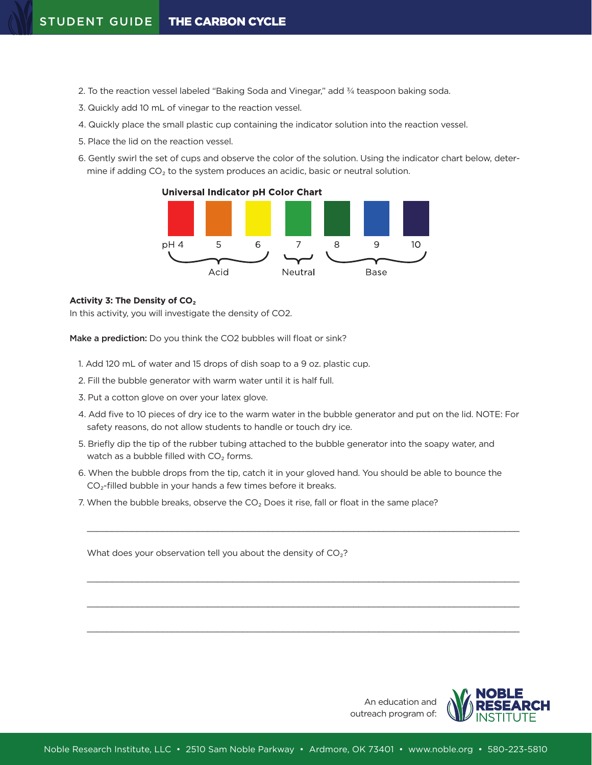- 2. To the reaction vessel labeled "Baking Soda and Vinegar," add 3/4 teaspoon baking soda.
- 3. Quickly add 10 mL of vinegar to the reaction vessel.
- 4. Quickly place the small plastic cup containing the indicator solution into the reaction vessel.
- 5. Place the lid on the reaction vessel.
- 6. Gently swirl the set of cups and observe the color of the solution. Using the indicator chart below, determine if adding  $CO<sub>2</sub>$  to the system produces an acidic, basic or neutral solution.

**Universal Indicator pH Color Chart** 



#### **Activity 3: The Density of CO₂**

In this activity, you will investigate the density of CO2.

Make a prediction: Do you think the CO2 bubbles will float or sink?

- 1. Add 120 mL of water and 15 drops of dish soap to a 9 oz. plastic cup.
- 2. Fill the bubble generator with warm water until it is half full.
- 3. Put a cotton glove on over your latex glove.
- 4. Add five to 10 pieces of dry ice to the warm water in the bubble generator and put on the lid. NOTE: For safety reasons, do not allow students to handle or touch dry ice.
- 5. Briefly dip the tip of the rubber tubing attached to the bubble generator into the soapy water, and watch as a bubble filled with  $CO<sub>2</sub>$  forms.
- 6. When the bubble drops from the tip, catch it in your gloved hand. You should be able to bounce the  $CO<sub>2</sub>$ -filled bubble in your hands a few times before it breaks.

 $\_$  , and the state of the state of the state of the state of the state of the state of the state of the state of the state of the state of the state of the state of the state of the state of the state of the state of the

 $\_$  , and the set of the set of the set of the set of the set of the set of the set of the set of the set of the set of the set of the set of the set of the set of the set of the set of the set of the set of the set of th

 $\_$  , and the state of the state of the state of the state of the state of the state of the state of the state of the state of the state of the state of the state of the state of the state of the state of the state of the

 $\_$  , and the state of the state of the state of the state of the state of the state of the state of the state of the state of the state of the state of the state of the state of the state of the state of the state of the

7. When the bubble breaks, observe the  $CO<sub>2</sub>$  Does it rise, fall or float in the same place?

What does your observation tell you about the density of  $CO<sub>2</sub>$ ?

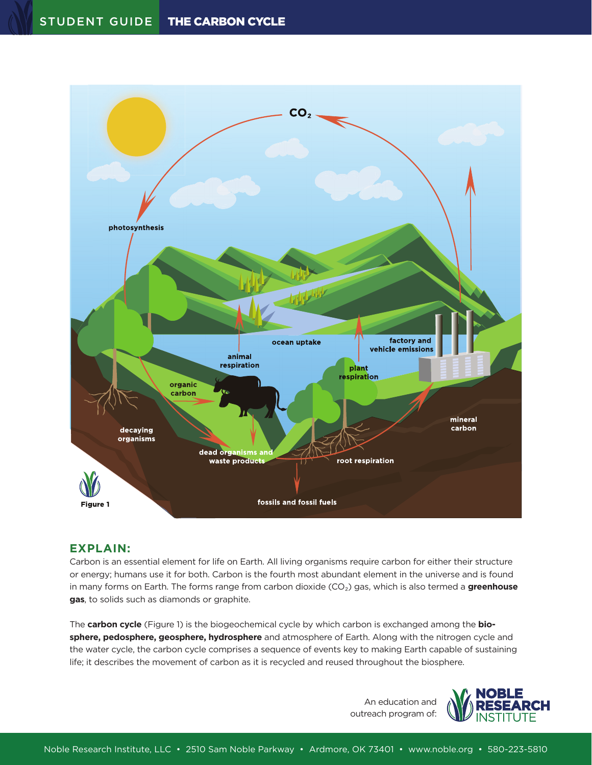

# **EXPLAIN:**

Carbon is an essential element for life on Earth. All living organisms require carbon for either their structure or energy; humans use it for both. Carbon is the fourth most abundant element in the universe and is found in many forms on Earth. The forms range from carbon dioxide (CO₂) gas, which is also termed a **greenhouse gas**, to solids such as diamonds or graphite.

The **carbon cycle** (Figure 1) is the biogeochemical cycle by which carbon is exchanged among the **biosphere, pedosphere, geosphere, hydrosphere** and atmosphere of Earth. Along with the nitrogen cycle and the water cycle, the carbon cycle comprises a sequence of events key to making Earth capable of sustaining life; it describes the movement of carbon as it is recycled and reused throughout the biosphere.

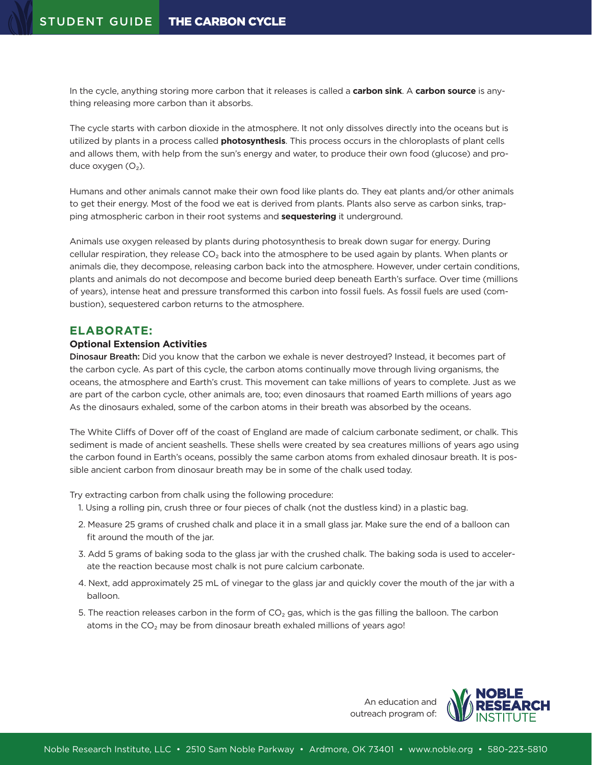In the cycle, anything storing more carbon that it releases is called a **carbon sink**. A **carbon source** is anything releasing more carbon than it absorbs.

The cycle starts with carbon dioxide in the atmosphere. It not only dissolves directly into the oceans but is utilized by plants in a process called **photosynthesis**. This process occurs in the chloroplasts of plant cells and allows them, with help from the sun's energy and water, to produce their own food (glucose) and produce oxygen  $(O_2)$ .

Humans and other animals cannot make their own food like plants do. They eat plants and/or other animals to get their energy. Most of the food we eat is derived from plants. Plants also serve as carbon sinks, trapping atmospheric carbon in their root systems and **sequestering** it underground.

Animals use oxygen released by plants during photosynthesis to break down sugar for energy. During cellular respiration, they release CO<sub>2</sub> back into the atmosphere to be used again by plants. When plants or animals die, they decompose, releasing carbon back into the atmosphere. However, under certain conditions, plants and animals do not decompose and become buried deep beneath Earth's surface. Over time (millions of years), intense heat and pressure transformed this carbon into fossil fuels. As fossil fuels are used (combustion), sequestered carbon returns to the atmosphere.

## **ELABORATE:**

#### **Optional Extension Activities**

Dinosaur Breath: Did you know that the carbon we exhale is never destroyed? Instead, it becomes part of the carbon cycle. As part of this cycle, the carbon atoms continually move through living organisms, the oceans, the atmosphere and Earth's crust. This movement can take millions of years to complete. Just as we are part of the carbon cycle, other animals are, too; even dinosaurs that roamed Earth millions of years ago As the dinosaurs exhaled, some of the carbon atoms in their breath was absorbed by the oceans.

The White Cliffs of Dover off of the coast of England are made of calcium carbonate sediment, or chalk. This sediment is made of ancient seashells. These shells were created by sea creatures millions of years ago using the carbon found in Earth's oceans, possibly the same carbon atoms from exhaled dinosaur breath. It is possible ancient carbon from dinosaur breath may be in some of the chalk used today.

Try extracting carbon from chalk using the following procedure:

- 1. Using a rolling pin, crush three or four pieces of chalk (not the dustless kind) in a plastic bag.
- 2. Measure 25 grams of crushed chalk and place it in a small glass jar. Make sure the end of a balloon can fit around the mouth of the jar.
- 3. Add 5 grams of baking soda to the glass jar with the crushed chalk. The baking soda is used to accelerate the reaction because most chalk is not pure calcium carbonate.
- 4. Next, add approximately 25 mL of vinegar to the glass jar and quickly cover the mouth of the jar with a balloon.
- 5. The reaction releases carbon in the form of  $CO<sub>2</sub>$  gas, which is the gas filling the balloon. The carbon atoms in the CO<sub>2</sub> may be from dinosaur breath exhaled millions of years ago!

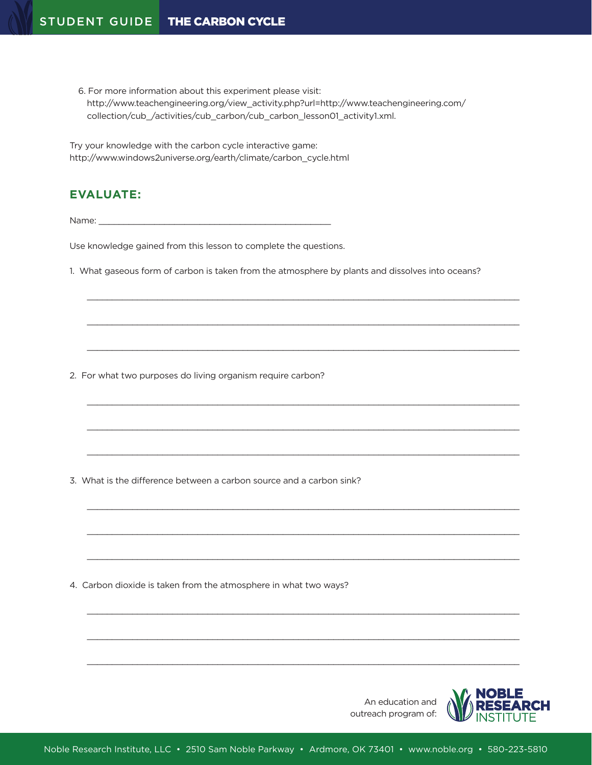6. For more information about this experiment please visit: http://www.teachengineering.org/view\_activity.php?url=http://www.teachengineering.com/ collection/cub\_/activities/cub\_carbon/cub\_carbon\_lesson01\_activity1.xml.

Try your knowledge with the carbon cycle interactive game: http://www.windows2universe.org/earth/climate/carbon\_cycle.html

# **EVALUATE:**

Name:  $\blacksquare$ 

Use knowledge gained from this lesson to complete the questions.

1. What gaseous form of carbon is taken from the atmosphere by plants and dissolves into oceans?

 $\_$  , and the state of the state of the state of the state of the state of the state of the state of the state of the state of the state of the state of the state of the state of the state of the state of the state of the

 $\_$  , and the state of the state of the state of the state of the state of the state of the state of the state of the state of the state of the state of the state of the state of the state of the state of the state of the

 $\_$  , and the set of the set of the set of the set of the set of the set of the set of the set of the set of the set of the set of the set of the set of the set of the set of the set of the set of the set of the set of th

 $\_$  , and the state of the state of the state of the state of the state of the state of the state of the state of the state of the state of the state of the state of the state of the state of the state of the state of the

 $\_$  , and the set of the set of the set of the set of the set of the set of the set of the set of the set of the set of the set of the set of the set of the set of the set of the set of the set of the set of the set of th

 $\_$  , and the state of the state of the state of the state of the state of the state of the state of the state of the state of the state of the state of the state of the state of the state of the state of the state of the

 $\_$  , and the set of the set of the set of the set of the set of the set of the set of the set of the set of the set of the set of the set of the set of the set of the set of the set of the set of the set of the set of th

 $\_$  , and the state of the state of the state of the state of the state of the state of the state of the state of the state of the state of the state of the state of the state of the state of the state of the state of the

 $\_$  , and the state of the state of the state of the state of the state of the state of the state of the state of the state of the state of the state of the state of the state of the state of the state of the state of the

 $\_$  , and the state of the state of the state of the state of the state of the state of the state of the state of the state of the state of the state of the state of the state of the state of the state of the state of the

 $\_$  , and the state of the state of the state of the state of the state of the state of the state of the state of the state of the state of the state of the state of the state of the state of the state of the state of the

 $\_$  , and the set of the set of the set of the set of the set of the set of the set of the set of the set of the set of the set of the set of the set of the set of the set of the set of the set of the set of the set of th

2. For what two purposes do living organism require carbon?

3. What is the difference between a carbon source and a carbon sink?

4. Carbon dioxide is taken from the atmosphere in what two ways?